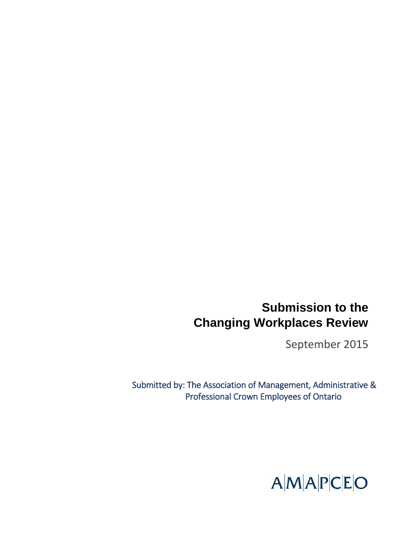# **Submission to the Changing Workplaces Review**

September 2015

Submitted by: The Association of Management, Administrative & Professional Crown Employees of Ontario

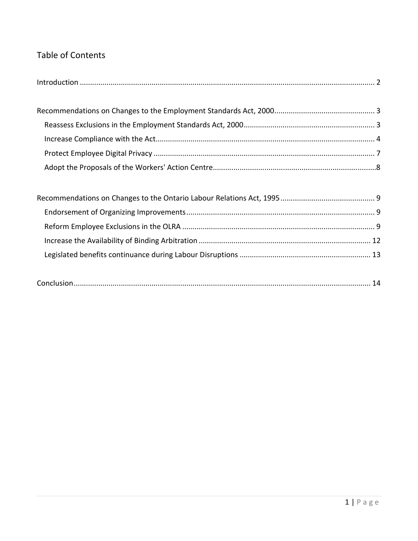# Table of Contents

|--|--|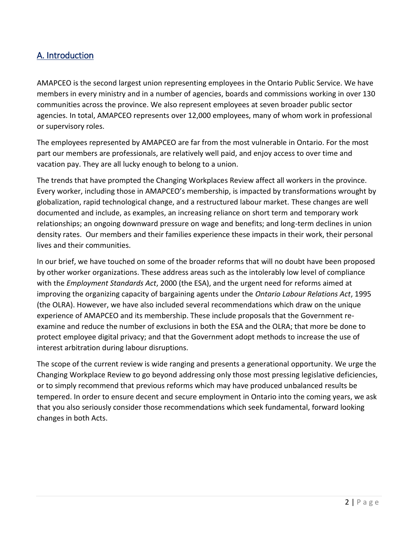# <span id="page-2-0"></span>A. Introduction

AMAPCEO is the second largest union representing employees in the Ontario Public Service. We have members in every ministry and in a number of agencies, boards and commissions working in over 130 communities across the province. We also represent employees at seven broader public sector agencies. In total, AMAPCEO represents over 12,000 employees, many of whom work in professional or supervisory roles.

The employees represented by AMAPCEO are far from the most vulnerable in Ontario. For the most part our members are professionals, are relatively well paid, and enjoy access to over time and vacation pay. They are all lucky enough to belong to a union.

The trends that have prompted the Changing Workplaces Review affect all workers in the province. Every worker, including those in AMAPCEO's membership, is impacted by transformations wrought by globalization, rapid technological change, and a restructured labour market. These changes are well documented and include, as examples, an increasing reliance on short term and temporary work relationships; an ongoing downward pressure on wage and benefits; and long-term declines in union density rates. Our members and their families experience these impacts in their work, their personal lives and their communities.

In our brief, we have touched on some of the broader reforms that will no doubt have been proposed by other worker organizations. These address areas such as the intolerably low level of compliance with the *Employment Standards Act*, 2000 (the ESA), and the urgent need for reforms aimed at improving the organizing capacity of bargaining agents under the *Ontario Labour Relations Act*, 1995 (the OLRA). However, we have also included several recommendations which draw on the unique experience of AMAPCEO and its membership. These include proposals that the Government reexamine and reduce the number of exclusions in both the ESA and the OLRA; that more be done to protect employee digital privacy; and that the Government adopt methods to increase the use of interest arbitration during labour disruptions.

The scope of the current review is wide ranging and presents a generational opportunity. We urge the Changing Workplace Review to go beyond addressing only those most pressing legislative deficiencies, or to simply recommend that previous reforms which may have produced unbalanced results be tempered. In order to ensure decent and secure employment in Ontario into the coming years, we ask that you also seriously consider those recommendations which seek fundamental, forward looking changes in both Acts.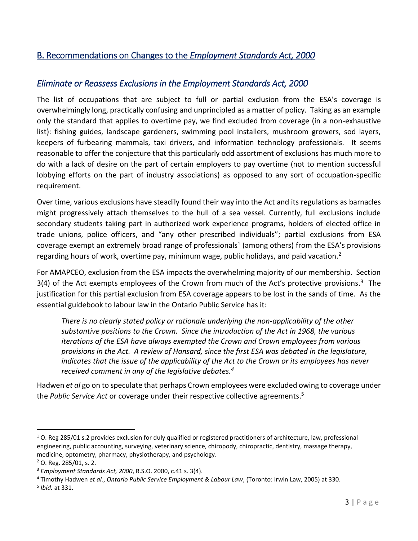# <span id="page-3-0"></span>B. Recommendations on Changes to the *Employment Standards Act, 2000*

# <span id="page-3-1"></span>*Eliminate or Reassess Exclusions in the Employment Standards Act, 2000*

The list of occupations that are subject to full or partial exclusion from the ESA's coverage is overwhelmingly long, practically confusing and unprincipled as a matter of policy. Taking as an example only the standard that applies to overtime pay, we find excluded from coverage (in a non-exhaustive list): fishing guides, landscape gardeners, swimming pool installers, mushroom growers, sod layers, keepers of furbearing mammals, taxi drivers, and information technology professionals. It seems reasonable to offer the conjecture that this particularly odd assortment of exclusions has much more to do with a lack of desire on the part of certain employers to pay overtime (not to mention successful lobbying efforts on the part of industry associations) as opposed to any sort of occupation-specific requirement.

Over time, various exclusions have steadily found their way into the Act and its regulations as barnacles might progressively attach themselves to the hull of a sea vessel. Currently, full exclusions include secondary students taking part in authorized work experience programs, holders of elected office in trade unions, police officers, and "any other prescribed individuals"; partial exclusions from ESA coverage exempt an extremely broad range of professionals<sup>1</sup> (among others) from the ESA's provisions regarding hours of work, overtime pay, minimum wage, public holidays, and paid vacation.<sup>2</sup>

For AMAPCEO, exclusion from the ESA impacts the overwhelming majority of our membership. Section 3(4) of the Act exempts employees of the Crown from much of the Act's protective provisions.<sup>3</sup> The justification for this partial exclusion from ESA coverage appears to be lost in the sands of time. As the essential guidebook to labour law in the Ontario Public Service has it:

*There is no clearly stated policy or rationale underlying the non-applicability of the other substantive positions to the Crown. Since the introduction of the Act in 1968, the various iterations of the ESA have always exempted the Crown and Crown employees from various provisions in the Act. A review of Hansard, since the first ESA was debated in the legislature, indicates that the issue of the applicability of the Act to the Crown or its employees has never received comment in any of the legislative debates. 4*

Hadwen *et al* go on to speculate that perhaps Crown employees were excluded owing to coverage under the *Public Service Act* or coverage under their respective collective agreements. 5

 $1$  O. Reg 285/01 s.2 provides exclusion for duly qualified or registered practitioners of architecture, law, professional engineering, public accounting, surveying, veterinary science, chiropody, chiropractic, dentistry, massage therapy, medicine, optometry, pharmacy, physiotherapy, and psychology.

<sup>2</sup> O. Reg. 285/01, s. 2.

<sup>3</sup> *Employment Standards Act, 2000*, R.S.O. 2000, c.41 s. 3(4).

<sup>4</sup> Timothy Hadwen *et al.*, *Ontario Public Service Employment & Labour Law*, (Toronto: Irwin Law, 2005) at 330. 5 *Ibid.* at 331.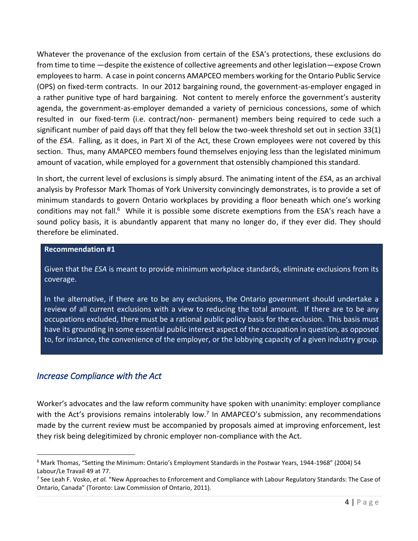Whatever the provenance of the exclusion from certain of the ESA's protections, these exclusions do from time to time —despite the existence of collective agreements and other legislation—expose Crown employees to harm. A case in point concerns AMAPCEO members working for the Ontario Public Service (OPS) on fixed-term contracts. In our 2012 bargaining round, the government-as-employer engaged in a rather punitive type of hard bargaining. Not content to merely enforce the government's austerity agenda, the government-as-employer demanded a variety of pernicious concessions, some of which resulted in our fixed-term (i.e. contract/non- permanent) members being required to cede such a significant number of paid days off that they fell below the two-week threshold set out in section 33(1) of the *ESA*. Falling, as it does, in Part XI of the Act, these Crown employees were not covered by this section. Thus, many AMAPCEO members found themselves enjoying less than the legislated minimum amount of vacation, while employed for a government that ostensibly championed this standard.

In short, the current level of exclusions is simply absurd. The animating intent of the *ESA*, as an archival analysis by Professor Mark Thomas of York University convincingly demonstrates, is to provide a set of minimum standards to govern Ontario workplaces by providing a floor beneath which one's working conditions may not fall.<sup>6</sup> While it is possible some discrete exemptions from the ESA's reach have a sound policy basis, it is abundantly apparent that many no longer do, if they ever did. They should therefore be eliminated.

### **Recommendation #1**

Given that the *ESA* is meant to provide minimum workplace standards, eliminate exclusions from its coverage.

In the alternative, if there are to be any exclusions, the Ontario government should undertake a review of all current exclusions with a view to reducing the total amount. If there are to be any occupations excluded, there must be a rational public policy basis for the exclusion. This basis must have its grounding in some essential public interest aspect of the occupation in question, as opposed to, for instance, the convenience of the employer, or the lobbying capacity of a given industry group.

### <span id="page-4-0"></span>*Increase Compliance with the Act*

 $\overline{a}$ 

Worker's advocates and the law reform community have spoken with unanimity: employer compliance with the Act's provisions remains intolerably low.<sup>7</sup> In AMAPCEO's submission, any recommendations made by the current review must be accompanied by proposals aimed at improving enforcement, lest they risk being delegitimized by chronic employer non-compliance with the Act.

<sup>6</sup> Mark Thomas, "Setting the Minimum: Ontario's Employment Standards in the Postwar Years, 1944-1968" (2004) 54 Labour/Le Travail 49 at 77.

<sup>7</sup> See Leah F. Vosko, *et al.* "New Approaches to Enforcement and Compliance with Labour Regulatory Standards: The Case of Ontario, Canada" (Toronto: Law Commission of Ontario, 2011).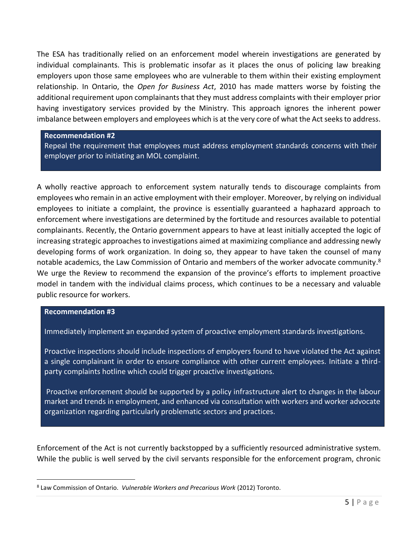The ESA has traditionally relied on an enforcement model wherein investigations are generated by individual complainants. This is problematic insofar as it places the onus of policing law breaking employers upon those same employees who are vulnerable to them within their existing employment relationship. In Ontario, the *Open for Business Act*, 2010 has made matters worse by foisting the additional requirement upon complainants that they must address complaints with their employer prior having investigatory services provided by the Ministry. This approach ignores the inherent power imbalance between employers and employees which is at the very core of what the Act seeks to address.

**Recommendation #2**

Repeal the requirement that employees must address employment standards concerns with their employer prior to initiating an MOL complaint.

A wholly reactive approach to enforcement system naturally tends to discourage complaints from employees who remain in an active employment with their employer. Moreover, by relying on individual employees to initiate a complaint, the province is essentially guaranteed a haphazard approach to enforcement where investigations are determined by the fortitude and resources available to potential complainants. Recently, the Ontario government appears to have at least initially accepted the logic of increasing strategic approaches to investigations aimed at maximizing compliance and addressing newly developing forms of work organization. In doing so, they appear to have taken the counsel of many notable academics, the Law Commission of Ontario and members of the worker advocate community.<sup>8</sup> We urge the Review to recommend the expansion of the province's efforts to implement proactive model in tandem with the individual claims process, which continues to be a necessary and valuable public resource for workers.

#### **Recommendation #3**

 $\overline{a}$ 

Immediately implement an expanded system of proactive employment standards investigations.

Proactive inspections should include inspections of employers found to have violated the Act against a single complainant in order to ensure compliance with other current employees. Initiate a thirdparty complaints hotline which could trigger proactive investigations.

Proactive enforcement should be supported by a policy infrastructure alert to changes in the labour market and trends in employment, and enhanced via consultation with workers and worker advocate organization regarding particularly problematic sectors and practices.

Enforcement of the Act is not currently backstopped by a sufficiently resourced administrative system. While the public is well served by the civil servants responsible for the enforcement program, chronic

<sup>8</sup> Law Commission of Ontario. *Vulnerable Workers and Precarious Work* (2012) Toronto.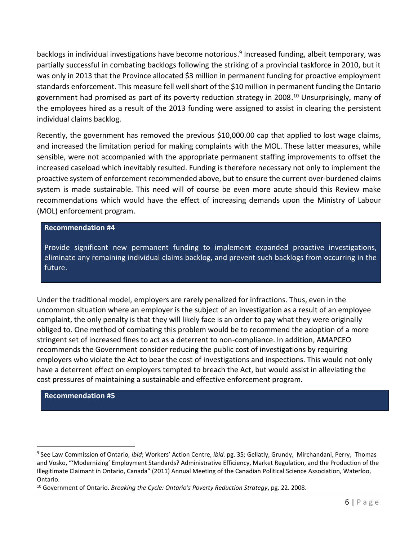backlogs in individual investigations have become notorious. 9 Increased funding, albeit temporary, was partially successful in combating backlogs following the striking of a provincial taskforce in 2010, but it was only in 2013 that the Province allocated \$3 million in permanent funding for proactive employment standards enforcement. This measure fell well short of the \$10 million in permanent funding the Ontario government had promised as part of its poverty reduction strategy in 2008. <sup>10</sup> Unsurprisingly, many of the employees hired as a result of the 2013 funding were assigned to assist in clearing the persistent individual claims backlog.

Recently, the government has removed the previous \$10,000.00 cap that applied to lost wage claims, and increased the limitation period for making complaints with the MOL. These latter measures, while sensible, were not accompanied with the appropriate permanent staffing improvements to offset the increased caseload which inevitably resulted. Funding is therefore necessary not only to implement the proactive system of enforcement recommended above, but to ensure the current over-burdened claims system is made sustainable. This need will of course be even more acute should this Review make recommendations which would have the effect of increasing demands upon the Ministry of Labour (MOL) enforcement program.

### **Recommendation #4**

Provide significant new permanent funding to implement expanded proactive investigations, eliminate any remaining individual claims backlog, and prevent such backlogs from occurring in the future.

Under the traditional model, employers are rarely penalized for infractions. Thus, even in the uncommon situation where an employer is the subject of an investigation as a result of an employee complaint, the only penalty is that they will likely face is an order to pay what they were originally obliged to. One method of combating this problem would be to recommend the adoption of a more stringent set of increased fines to act as a deterrent to non-compliance. In addition, AMAPCEO recommends the Government consider reducing the public cost of investigations by requiring employers who violate the Act to bear the cost of investigations and inspections. This would not only have a deterrent effect on employers tempted to breach the Act, but would assist in alleviating the cost pressures of maintaining a sustainable and effective enforcement program.

#### **Recommendation #5**

<sup>9</sup> See Law Commission of Ontario*, ibid*; Workers' Action Centre, *ibid.* pg. 35; Gellatly, Grundy, Mirchandani, Perry, Thomas and Vosko, "'Modernizing' Employment Standards? Administrative Efficiency, Market Regulation, and the Production of the Illegitimate Claimant in Ontario, Canada" (2011) Annual Meeting of the Canadian Political Science Association, Waterloo, Ontario.

<sup>10</sup> Government of Ontario. *Breaking the Cycle: Ontario's Poverty Reduction Strategy*, pg. 22. 2008.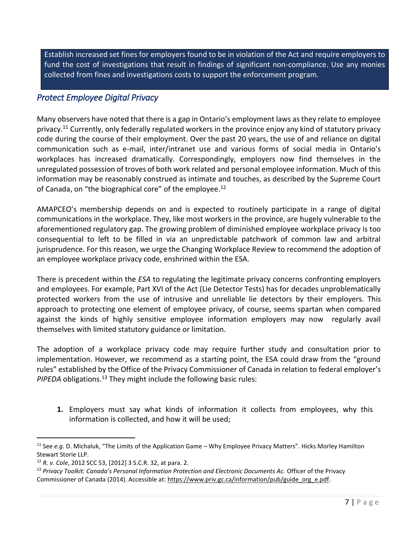Establish increased set fines for employers found to be in violation of the Act and require employers to fund the cost of investigations that result in findings of significant non-compliance. Use any monies collected from fines and investigations costs to support the enforcement program.

# <span id="page-7-0"></span>*Protect Employee Digital Privacy*

Many observers have noted that there is a gap in Ontario's employment laws as they relate to employee privacy.<sup>11</sup> Currently, only federally regulated workers in the province enjoy any kind of statutory privacy code during the course of their employment. Over the past 20 years, the use of and reliance on digital communication such as e-mail, inter/intranet use and various forms of social media in Ontario's workplaces has increased dramatically. Correspondingly, employers now find themselves in the unregulated possession of troves of both work related and personal employee information. Much of this information may be reasonably construed as intimate and touches, as described by the Supreme Court of Canada, on "the biographical core" of the employee.<sup>12</sup>

AMAPCEO's membership depends on and is expected to routinely participate in a range of digital communications in the workplace. They, like most workers in the province, are hugely vulnerable to the aforementioned regulatory gap. The growing problem of diminished employee workplace privacy is too consequential to left to be filled in via an unpredictable patchwork of common law and arbitral jurisprudence. For this reason, we urge the Changing Workplace Review to recommend the adoption of an employee workplace privacy code, enshrined within the ESA.

There is precedent within the *ESA* to regulating the legitimate privacy concerns confronting employers and employees. For example, Part XVI of the Act (Lie Detector Tests) has for decades unproblematically protected workers from the use of intrusive and unreliable lie detectors by their employers. This approach to protecting one element of employee privacy, of course, seems spartan when compared against the kinds of highly sensitive employee information employers may now regularly avail themselves with limited statutory guidance or limitation.

The adoption of a workplace privacy code may require further study and consultation prior to implementation. However, we recommend as a starting point, the ESA could draw from the "ground rules" established by the Office of the Privacy Commissioner of Canada in relation to federal employer's PIPEDA obligations.<sup>13</sup> They might include the following basic rules:

**1.** Employers must say what kinds of information it collects from employees, why this information is collected, and how it will be used;

<sup>11</sup> See *e.g.* D. Michaluk, "The Limits of the Application Game – Why Employee Privacy Matters". Hicks Morley Hamilton Stewart Storie LLP.

<sup>12</sup> *R. v. Cole*, 2012 SCC 53, [2012] 3 S.C.R. 32, at para. 2.

<sup>&</sup>lt;sup>13</sup> Privacy Toolkit: Canada's Personal Information Protection and Electronic Documents Ac. Officer of the Privacy Commissioner of Canada (2014). Accessible at: https://www.priv.gc.ca/information/pub/guide\_org\_e.pdf.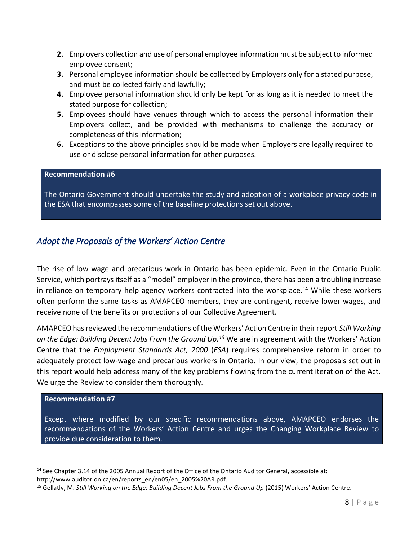- **2.** Employers collection and use of personal employee information must be subject to informed employee consent;
- **3.** Personal employee information should be collected by Employers only for a stated purpose, and must be collected fairly and lawfully;
- **4.** Employee personal information should only be kept for as long as it is needed to meet the stated purpose for collection;
- **5.** Employees should have venues through which to access the personal information their Employers collect, and be provided with mechanisms to challenge the accuracy or completeness of this information;
- **6.** Exceptions to the above principles should be made when Employers are legally required to use or disclose personal information for other purposes.

### **Recommendation #6**

The Ontario Government should undertake the study and adoption of a workplace privacy code in the ESA that encompasses some of the baseline protections set out above.

### *Adopt the Proposals of the Workers' Action Centre*

The rise of low wage and precarious work in Ontario has been epidemic. Even in the Ontario Public Service, which portrays itself as a "model" employer in the province, there has been a troubling increase in reliance on temporary help agency workers contracted into the workplace. <sup>14</sup> While these workers often perform the same tasks as AMAPCEO members, they are contingent, receive lower wages, and receive none of the benefits or protections of our Collective Agreement.

AMAPCEO has reviewed the recommendations of the Workers' Action Centre in their report *Still Working on the Edge: Building Decent Jobs From the Ground Up. <sup>15</sup>* We are in agreement with the Workers' Action Centre that the *Employment Standards Act, 2000* (*ESA*) requires comprehensive reform in order to adequately protect low-wage and precarious workers in Ontario. In our view, the proposals set out in this report would help address many of the key problems flowing from the current iteration of the Act. We urge the Review to consider them thoroughly.

#### **Recommendation #7**

 $\overline{a}$ 

Except where modified by our specific recommendations above, AMAPCEO endorses the recommendations of the Workers' Action Centre and urges the Changing Workplace Review to provide due consideration to them.

<sup>&</sup>lt;sup>14</sup> See Chapter 3.14 of the 2005 Annual Report of the Office of the Ontario Auditor General, accessible at: [http://www.auditor.on.ca/en/reports\\_en/en05/en\\_2005%20AR.pdf.](http://www.auditor.on.ca/en/reports_en/en05/en_2005%20AR.pdf)

<sup>&</sup>lt;sup>15</sup> Gellatly, M. *Still Working on the Edge: Building Decent Jobs From the Ground Up* (2015) Workers' Action Centre.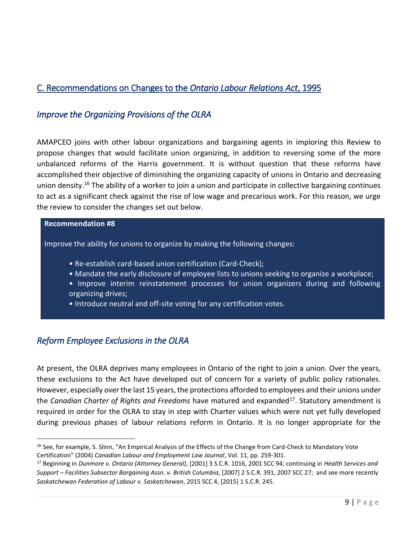# <span id="page-9-0"></span>C. Recommendations on Changes to the *Ontario Labour Relations Act*, 1995

# <span id="page-9-1"></span>*Improve the Organizing Provisions of the OLRA*

AMAPCEO joins with other labour organizations and bargaining agents in imploring this Review to propose changes that would facilitate union organizing, in addition to reversing some of the more unbalanced reforms of the Harris government. It is without question that these reforms have accomplished their objective of diminishing the organizing capacity of unions in Ontario and decreasing union density.<sup>16</sup> The ability of a worker to join a union and participate in collective bargaining continues to act as a significant check against the rise of low wage and precarious work. For this reason, we urge the review to consider the changes set out below.

### **Recommendation #8**

Improve the ability for unions to organize by making the following changes:

- Re-establish card-based union certification (Card-Check);
- Mandate the early disclosure of employee lists to unions seeking to organize a workplace;
- Improve interim reinstatement processes for union organizers during and following organizing drives;
- Introduce neutral and off-site voting for any certification votes.

# <span id="page-9-2"></span>*Reform Employee Exclusions in the OLRA*

At present, the OLRA deprives many employees in Ontario of the right to join a union. Over the years, these exclusions to the Act have developed out of concern for a variety of public policy rationales. However, especially over the last 15 years, the protections afforded to employees and their unions under the *Canadian Charter of Rights and Freedoms* have matured and expanded<sup>17</sup>. Statutory amendment is required in order for the OLRA to stay in step with Charter values which were not yet fully developed during previous phases of labour relations reform in Ontario. It is no longer appropriate for the

 $\overline{a}$ <sup>16</sup> See, for example, S. Slinn, "An Empirical Analysis of the Effects of the Change from Card-Check to Mandatory Vote Certification" (2004) *Canadian Labour and Employment Law Journal*, Vol. 11, pp. 259-301.

<sup>17</sup> Beginning in *Dunmore v. Ontario (Attorney General)*, [2001] 3 S.C.R. 1016, 2001 SCC 94; continuing in *Health Services and Support – Facilities Subsector Bargaining Assn. v. British Columbia*, [2007] 2 S.C.R. 391, 2007 SCC 27; and see more recently *Saskatchewan Federation of Labour v. Saskatchewan*, 2015 SCC 4, [2015] 1 S.C.R. 245.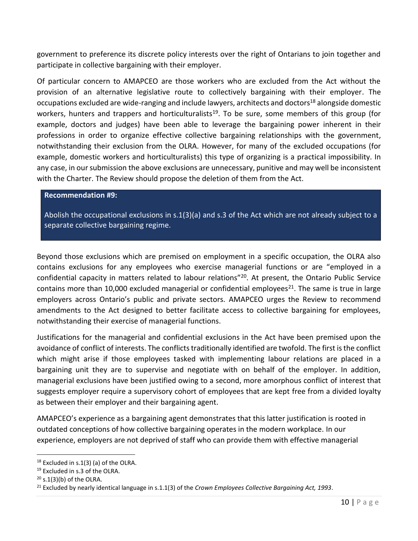government to preference its discrete policy interests over the right of Ontarians to join together and participate in collective bargaining with their employer.

Of particular concern to AMAPCEO are those workers who are excluded from the Act without the provision of an alternative legislative route to collectively bargaining with their employer. The occupations excluded are wide-ranging and include lawyers, architects and doctors<sup>18</sup> alongside domestic workers, hunters and trappers and horticulturalists<sup>19</sup>. To be sure, some members of this group (for example, doctors and judges) have been able to leverage the bargaining power inherent in their professions in order to organize effective collective bargaining relationships with the government, notwithstanding their exclusion from the OLRA. However, for many of the excluded occupations (for example, domestic workers and horticulturalists) this type of organizing is a practical impossibility. In any case, in our submission the above exclusions are unnecessary, punitive and may well be inconsistent with the Charter. The Review should propose the deletion of them from the Act.

#### **Recommendation #9:**

Abolish the occupational exclusions in s.1(3)(a) and s.3 of the Act which are not already subject to a separate collective bargaining regime.

Beyond those exclusions which are premised on employment in a specific occupation, the OLRA also contains exclusions for any employees who exercise managerial functions or are "employed in a confidential capacity in matters related to labour relations"<sup>20</sup>. At present, the Ontario Public Service contains more than 10,000 excluded managerial or confidential employees<sup>21</sup>. The same is true in large employers across Ontario's public and private sectors. AMAPCEO urges the Review to recommend amendments to the Act designed to better facilitate access to collective bargaining for employees, notwithstanding their exercise of managerial functions.

Justifications for the managerial and confidential exclusions in the Act have been premised upon the avoidance of conflict of interests. The conflicts traditionally identified are twofold. The first is the conflict which might arise if those employees tasked with implementing labour relations are placed in a bargaining unit they are to supervise and negotiate with on behalf of the employer. In addition, managerial exclusions have been justified owing to a second, more amorphous conflict of interest that suggests employer require a supervisory cohort of employees that are kept free from a divided loyalty as between their employer and their bargaining agent.

AMAPCEO's experience as a bargaining agent demonstrates that this latter justification is rooted in outdated conceptions of how collective bargaining operates in the modern workplace. In our experience, employers are not deprived of staff who can provide them with effective managerial

 $18$  Excluded in s.1(3) (a) of the OLRA.

<sup>19</sup> Excluded in s.3 of the OLRA.

 $20$  s.1(3)(b) of the OLRA.

<sup>21</sup> Excluded by nearly identical language in s.1.1(3) of the *Crown Employees Collective Bargaining Act, 1993*.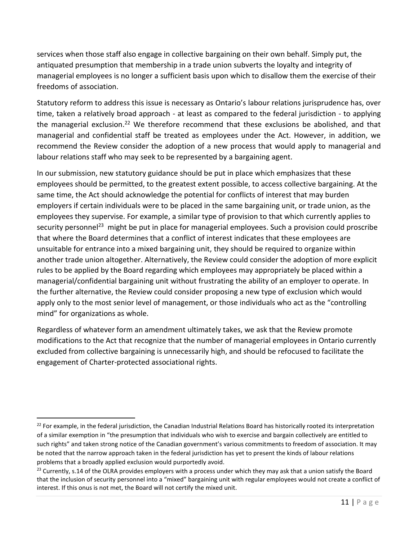services when those staff also engage in collective bargaining on their own behalf. Simply put, the antiquated presumption that membership in a trade union subverts the loyalty and integrity of managerial employees is no longer a sufficient basis upon which to disallow them the exercise of their freedoms of association.

Statutory reform to address this issue is necessary as Ontario's labour relations jurisprudence has, over time, taken a relatively broad approach - at least as compared to the federal jurisdiction - to applying the managerial exclusion.<sup>22</sup> We therefore recommend that these exclusions be abolished, and that managerial and confidential staff be treated as employees under the Act. However, in addition, we recommend the Review consider the adoption of a new process that would apply to managerial and labour relations staff who may seek to be represented by a bargaining agent.

In our submission, new statutory guidance should be put in place which emphasizes that these employees should be permitted, to the greatest extent possible, to access collective bargaining. At the same time, the Act should acknowledge the potential for conflicts of interest that may burden employers if certain individuals were to be placed in the same bargaining unit, or trade union, as the employees they supervise. For example, a similar type of provision to that which currently applies to security personnel<sup>23</sup> might be put in place for managerial employees. Such a provision could proscribe that where the Board determines that a conflict of interest indicates that these employees are unsuitable for entrance into a mixed bargaining unit, they should be required to organize within another trade union altogether. Alternatively, the Review could consider the adoption of more explicit rules to be applied by the Board regarding which employees may appropriately be placed within a managerial/confidential bargaining unit without frustrating the ability of an employer to operate. In the further alternative, the Review could consider proposing a new type of exclusion which would apply only to the most senior level of management, or those individuals who act as the "controlling mind" for organizations as whole.

Regardless of whatever form an amendment ultimately takes, we ask that the Review promote modifications to the Act that recognize that the number of managerial employees in Ontario currently excluded from collective bargaining is unnecessarily high, and should be refocused to facilitate the engagement of Charter-protected associational rights.

<sup>&</sup>lt;sup>22</sup> For example, in the federal jurisdiction, the Canadian Industrial Relations Board has historically rooted its interpretation of a similar exemption in "the presumption that individuals who wish to exercise and bargain collectively are entitled to such rights" and taken strong notice of the Canadian government's various commitments to freedom of association. It may be noted that the narrow approach taken in the federal jurisdiction has yet to present the kinds of labour relations problems that a broadly applied exclusion would purportedly avoid.

 $23$  Currently, s.14 of the OLRA provides employers with a process under which they may ask that a union satisfy the Board that the inclusion of security personnel into a "mixed" bargaining unit with regular employees would not create a conflict of interest. If this onus is not met, the Board will not certify the mixed unit.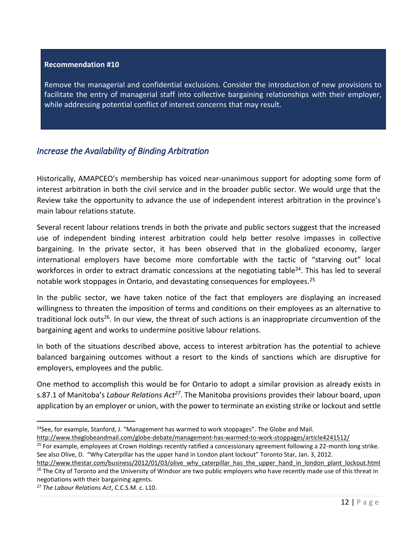### **Recommendation #10**

Remove the managerial and confidential exclusions. Consider the introduction of new provisions to facilitate the entry of managerial staff into collective bargaining relationships with their employer, while addressing potential conflict of interest concerns that may result.

### <span id="page-12-0"></span>*Increase the Availability of Binding Arbitration*

Historically, AMAPCEO's membership has voiced near-unanimous support for adopting some form of interest arbitration in both the civil service and in the broader public sector. We would urge that the Review take the opportunity to advance the use of independent interest arbitration in the province's main labour relations statute.

Several recent labour relations trends in both the private and public sectors suggest that the increased use of independent binding interest arbitration could help better resolve impasses in collective bargaining. In the private sector, it has been observed that in the globalized economy, larger international employers have become more comfortable with the tactic of "starving out" local workforces in order to extract dramatic concessions at the negotiating table<sup>24</sup>. This has led to several notable work stoppages in Ontario, and devastating consequences for employees.<sup>25</sup>

In the public sector, we have taken notice of the fact that employers are displaying an increased willingness to threaten the imposition of terms and conditions on their employees as an alternative to traditional lock outs<sup>26</sup>. In our view, the threat of such actions is an inappropriate circumvention of the bargaining agent and works to undermine positive labour relations.

In both of the situations described above, access to interest arbitration has the potential to achieve balanced bargaining outcomes without a resort to the kinds of sanctions which are disruptive for employers, employees and the public.

One method to accomplish this would be for Ontario to adopt a similar provision as already exists in s.87.1 of Manitoba's *Labour Relations Act<sup>27</sup>*. The Manitoba provisions provides their labour board, upon application by an employer or union, with the power to terminate an existing strike or lockout and settle

 $24$ See, for example, Stanford, J. "Management has warmed to work stoppages". The Globe and Mail.

<http://www.theglobeandmail.com/globe-debate/management-has-warmed-to-work-stoppages/article4241512/>

<sup>&</sup>lt;sup>25</sup> For example, employees at Crown Holdings recently ratified a concessionary agreement following a 22-month long strike. See also Olive, D. "Why Caterpillar has the upper hand in London plant lockout" Toronto Star, Jan. 3, 2012.

[http://www.thestar.com/business/2012/01/03/olive\\_why\\_caterpillar\\_has\\_the\\_upper\\_hand\\_in\\_london\\_plant\\_lockout.html](http://www.thestar.com/business/2012/01/03/olive_why_caterpillar_has_the_upper_hand_in_london_plant_lockout.html) <sup>26</sup> The City of Toronto and the University of Windsor are two public employers who have recently made use of this threat in negotiations with their bargaining agents.

<sup>27</sup> *The Labour Relations Act*, C.C.S.M. c. L10.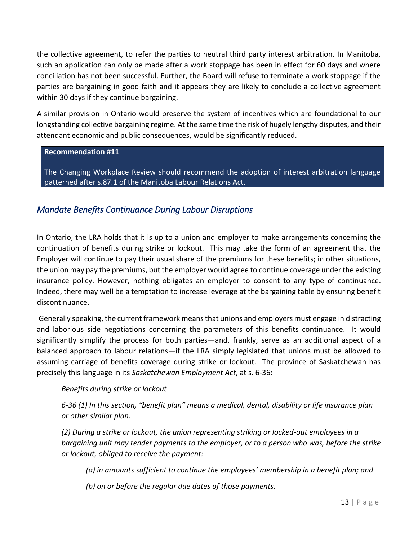the collective agreement, to refer the parties to neutral third party interest arbitration. In Manitoba, such an application can only be made after a work stoppage has been in effect for 60 days and where conciliation has not been successful. Further, the Board will refuse to terminate a work stoppage if the parties are bargaining in good faith and it appears they are likely to conclude a collective agreement within 30 days if they continue bargaining.

A similar provision in Ontario would preserve the system of incentives which are foundational to our longstanding collective bargaining regime. At the same time the risk of hugely lengthy disputes, and their attendant economic and public consequences, would be significantly reduced.

### **Recommendation #11**

The Changing Workplace Review should recommend the adoption of interest arbitration language patterned after s.87.1 of the Manitoba Labour Relations Act.

# <span id="page-13-0"></span>*Mandate Benefits Continuance During Labour Disruptions*

In Ontario, the LRA holds that it is up to a union and employer to make arrangements concerning the continuation of benefits during strike or lockout. This may take the form of an agreement that the Employer will continue to pay their usual share of the premiums for these benefits; in other situations, the union may pay the premiums, but the employer would agree to continue coverage under the existing insurance policy. However, nothing obligates an employer to consent to any type of continuance. Indeed, there may well be a temptation to increase leverage at the bargaining table by ensuring benefit discontinuance.

Generally speaking, the current framework means that unions and employers must engage in distracting and laborious side negotiations concerning the parameters of this benefits continuance. It would significantly simplify the process for both parties—and, frankly, serve as an additional aspect of a balanced approach to labour relations—if the LRA simply legislated that unions must be allowed to assuming carriage of benefits coverage during strike or lockout. The province of Saskatchewan has precisely this language in its *Saskatchewan Employment Act*, at s. 6-36:

### *Benefits during strike or lockout*

*6-36 (1) In this section, "benefit plan" means a medical, dental, disability or life insurance plan or other similar plan.* 

*(2) During a strike or lockout, the union representing striking or locked-out employees in a bargaining unit may tender payments to the employer, or to a person who was, before the strike or lockout, obliged to receive the payment:* 

*(a) in amounts sufficient to continue the employees' membership in a benefit plan; and* 

*(b) on or before the regular due dates of those payments.*